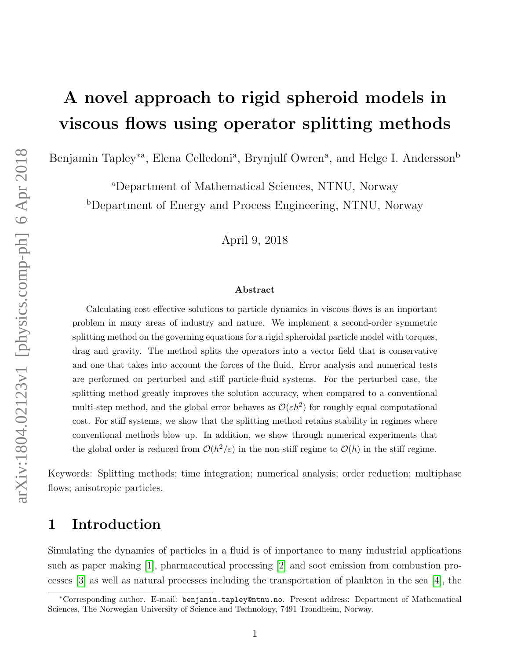# A novel approach to rigid spheroid models in viscous flows using operator splitting methods

Benjamin Tapley<sup>\*a</sup>, Elena Celledoni<sup>a</sup>, Brynjulf Owren<sup>a</sup>, and Helge I. Andersson<sup>b</sup>

<sup>a</sup>Department of Mathematical Sciences, NTNU, Norway <sup>b</sup>Department of Energy and Process Engineering, NTNU, Norway

April 9, 2018

#### Abstract

Calculating cost-effective solutions to particle dynamics in viscous flows is an important problem in many areas of industry and nature. We implement a second-order symmetric splitting method on the governing equations for a rigid spheroidal particle model with torques, drag and gravity. The method splits the operators into a vector field that is conservative and one that takes into account the forces of the fluid. Error analysis and numerical tests are performed on perturbed and stiff particle-fluid systems. For the perturbed case, the splitting method greatly improves the solution accuracy, when compared to a conventional multi-step method, and the global error behaves as  $\mathcal{O}(\varepsilon h^2)$  for roughly equal computational cost. For stiff systems, we show that the splitting method retains stability in regimes where conventional methods blow up. In addition, we show through numerical experiments that the global order is reduced from  $\mathcal{O}(h^2/\varepsilon)$  in the non-stiff regime to  $\mathcal{O}(h)$  in the stiff regime.

Keywords: Splitting methods; time integration; numerical analysis; order reduction; multiphase flows; anisotropic particles.

### 1 Introduction

Simulating the dynamics of particles in a fluid is of importance to many industrial applications such as paper making [\[1\]](#page-20-0), pharmaceutical processing [\[2\]](#page-20-1) and soot emission from combustion processes [\[3\]](#page-20-2) as well as natural processes including the transportation of plankton in the sea [\[4\]](#page-20-3), the

<sup>∗</sup>Corresponding author. E-mail: benjamin.tapley@ntnu.no. Present address: Department of Mathematical Sciences, The Norwegian University of Science and Technology, 7491 Trondheim, Norway.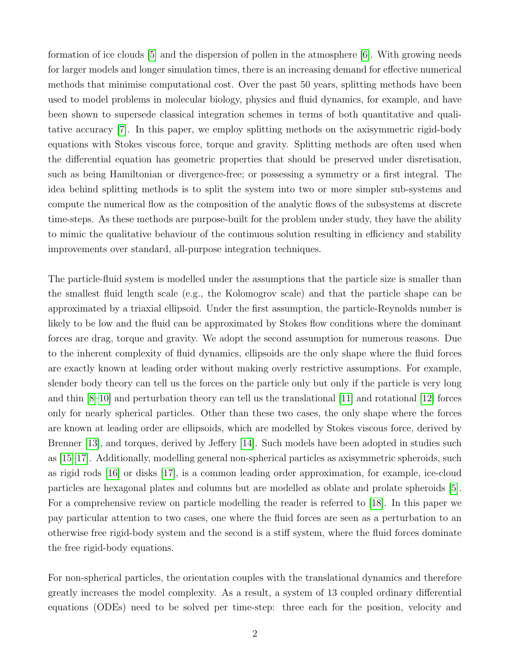formation of ice clouds [\[5\]](#page-20-4) and the dispersion of pollen in the atmosphere [\[6\]](#page-20-5). With growing needs for larger models and longer simulation times, there is an increasing demand for effective numerical methods that minimise computational cost. Over the past 50 years, splitting methods have been used to model problems in molecular biology, physics and fluid dynamics, for example, and have been shown to supersede classical integration schemes in terms of both quantitative and qualitative accuracy [\[7\]](#page-20-6). In this paper, we employ splitting methods on the axisymmetric rigid-body equations with Stokes viscous force, torque and gravity. Splitting methods are often used when the differential equation has geometric properties that should be preserved under disretisation, such as being Hamiltonian or divergence-free; or possessing a symmetry or a first integral. The idea behind splitting methods is to split the system into two or more simpler sub-systems and compute the numerical flow as the composition of the analytic flows of the subsystems at discrete time-steps. As these methods are purpose-built for the problem under study, they have the ability to mimic the qualitative behaviour of the continuous solution resulting in efficiency and stability improvements over standard, all-purpose integration techniques.

The particle-fluid system is modelled under the assumptions that the particle size is smaller than the smallest fluid length scale (e.g., the Kolomogrov scale) and that the particle shape can be approximated by a triaxial ellipsoid. Under the first assumption, the particle-Reynolds number is likely to be low and the fluid can be approximated by Stokes flow conditions where the dominant forces are drag, torque and gravity. We adopt the second assumption for numerous reasons. Due to the inherent complexity of fluid dynamics, ellipsoids are the only shape where the fluid forces are exactly known at leading order without making overly restrictive assumptions. For example, slender body theory can tell us the forces on the particle only but only if the particle is very long and thin [\[8](#page-20-7)[–10\]](#page-20-8) and perturbation theory can tell us the translational [\[11\]](#page-20-9) and rotational [\[12\]](#page-21-0) forces only for nearly spherical particles. Other than these two cases, the only shape where the forces are known at leading order are ellipsoids, which are modelled by Stokes viscous force, derived by Brenner [\[13\]](#page-21-1), and torques, derived by Jeffery [\[14\]](#page-21-2). Such models have been adopted in studies such as [\[15–](#page-21-3)[17\]](#page-21-4). Additionally, modelling general non-spherical particles as axisymmetric spheroids, such as rigid rods [\[16\]](#page-21-5) or disks [\[17\]](#page-21-4), is a common leading order approximation, for example, ice-cloud particles are hexagonal plates and columns but are modelled as oblate and prolate spheroids [\[5\]](#page-20-4). For a comprehensive review on particle modelling the reader is referred to [\[18\]](#page-21-6). In this paper we pay particular attention to two cases, one where the fluid forces are seen as a perturbation to an otherwise free rigid-body system and the second is a stiff system, where the fluid forces dominate the free rigid-body equations.

For non-spherical particles, the orientation couples with the translational dynamics and therefore greatly increases the model complexity. As a result, a system of 13 coupled ordinary differential equations (ODEs) need to be solved per time-step: three each for the position, velocity and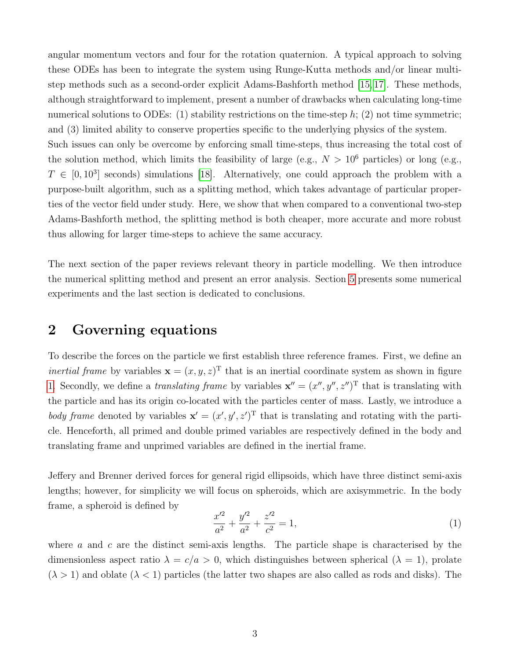angular momentum vectors and four for the rotation quaternion. A typical approach to solving these ODEs has been to integrate the system using Runge-Kutta methods and/or linear multistep methods such as a second-order explicit Adams-Bashforth method [\[15,](#page-21-3) [17\]](#page-21-4). These methods, although straightforward to implement, present a number of drawbacks when calculating long-time numerical solutions to ODEs: (1) stability restrictions on the time-step  $h$ ; (2) not time symmetric; and (3) limited ability to conserve properties specific to the underlying physics of the system. Such issues can only be overcome by enforcing small time-steps, thus increasing the total cost of the solution method, which limits the feasibility of large (e.g.,  $N > 10^6$  particles) or long (e.g.,  $T \in [0, 10^3]$  seconds) simulations [\[18\]](#page-21-6). Alternatively, one could approach the problem with a purpose-built algorithm, such as a splitting method, which takes advantage of particular properties of the vector field under study. Here, we show that when compared to a conventional two-step Adams-Bashforth method, the splitting method is both cheaper, more accurate and more robust thus allowing for larger time-steps to achieve the same accuracy.

The next section of the paper reviews relevant theory in particle modelling. We then introduce the numerical splitting method and present an error analysis. Section [5](#page-15-0) presents some numerical experiments and the last section is dedicated to conclusions.

### 2 Governing equations

To describe the forces on the particle we first establish three reference frames. First, we define an *inertial frame* by variables  $\mathbf{x} = (x, y, z)^T$  that is an inertial coordinate system as shown in figure [1.](#page-3-0) Secondly, we define a *translating frame* by variables  $\mathbf{x}'' = (x'', y'', z'')^T$  that is translating with the particle and has its origin co-located with the particles center of mass. Lastly, we introduce a body frame denoted by variables  $\mathbf{x}' = (x', y', z')^T$  that is translating and rotating with the particle. Henceforth, all primed and double primed variables are respectively defined in the body and translating frame and unprimed variables are defined in the inertial frame.

Jeffery and Brenner derived forces for general rigid ellipsoids, which have three distinct semi-axis lengths; however, for simplicity we will focus on spheroids, which are axisymmetric. In the body frame, a spheroid is defined by

$$
\frac{x^2}{a^2} + \frac{y^2}{a^2} + \frac{z^2}{c^2} = 1,\tag{1}
$$

where  $a$  and  $c$  are the distinct semi-axis lengths. The particle shape is characterised by the dimensionless aspect ratio  $\lambda = c/a > 0$ , which distinguishes between spherical  $(\lambda = 1)$ , prolate  $(\lambda > 1)$  and oblate  $(\lambda < 1)$  particles (the latter two shapes are also called as rods and disks). The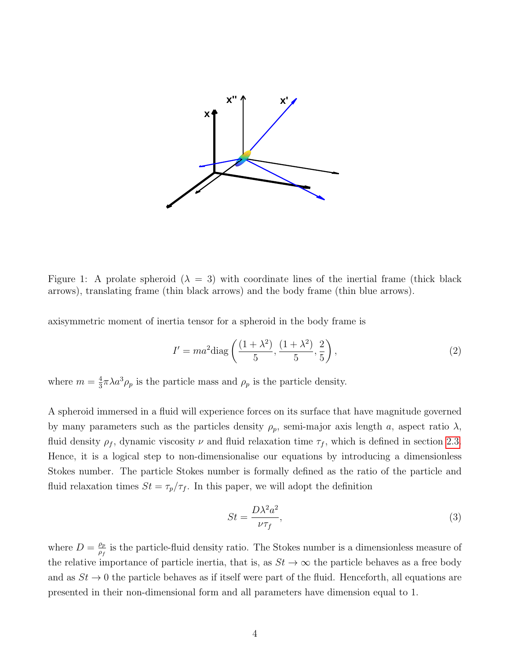<span id="page-3-0"></span>

Figure 1: A prolate spheroid  $(\lambda = 3)$  with coordinate lines of the inertial frame (thick black arrows), translating frame (thin black arrows) and the body frame (thin blue arrows).

axisymmetric moment of inertia tensor for a spheroid in the body frame is

$$
I' = ma^{2} \text{diag}\left(\frac{(1+\lambda^{2})}{5}, \frac{(1+\lambda^{2})}{5}, \frac{2}{5}\right),\tag{2}
$$

where  $m=\frac{4}{3}$  $\frac{4}{3}\pi\lambda a^3\rho_p$  is the particle mass and  $\rho_p$  is the particle density.

A spheroid immersed in a fluid will experience forces on its surface that have magnitude governed by many parameters such as the particles density  $\rho_p$ , semi-major axis length a, aspect ratio  $\lambda$ , fluid density  $\rho_f$ , dynamic viscosity  $\nu$  and fluid relaxation time  $\tau_f$ , which is defined in section [2.3.](#page-7-0) Hence, it is a logical step to non-dimensionalise our equations by introducing a dimensionless Stokes number. The particle Stokes number is formally defined as the ratio of the particle and fluid relaxation times  $St = \tau_p/\tau_f$ . In this paper, we will adopt the definition

$$
St = \frac{D\lambda^2 a^2}{\nu \tau_f},\tag{3}
$$

where  $D = \frac{\rho_p}{\rho_s}$  $\frac{\rho_p}{\rho_f}$  is the particle-fluid density ratio. The Stokes number is a dimensionless measure of the relative importance of particle inertia, that is, as  $St \to \infty$  the particle behaves as a free body and as  $St \to 0$  the particle behaves as if itself were part of the fluid. Henceforth, all equations are presented in their non-dimensional form and all parameters have dimension equal to 1.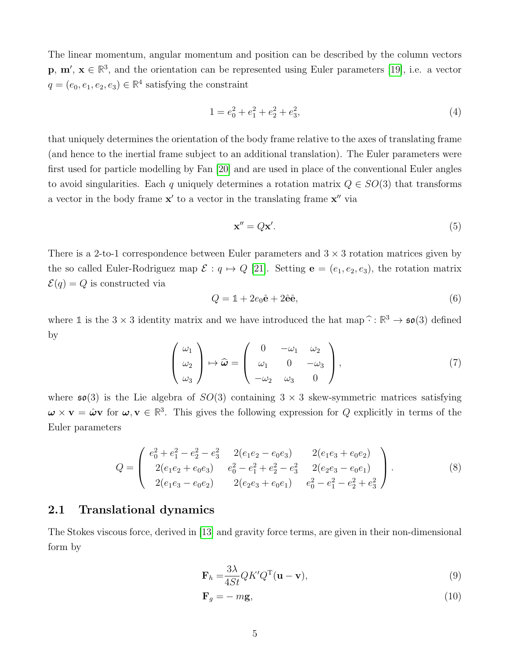The linear momentum, angular momentum and position can be described by the column vectors  $\mathbf{p}, \mathbf{m}'$ ,  $\mathbf{x} \in \mathbb{R}^3$ , and the orientation can be represented using Euler parameters [\[19\]](#page-21-7), i.e. a vector  $q = (e_0, e_1, e_2, e_3) \in \mathbb{R}^4$  satisfying the constraint

$$
1 = e_0^2 + e_1^2 + e_2^2 + e_3^2,\tag{4}
$$

that uniquely determines the orientation of the body frame relative to the axes of translating frame (and hence to the inertial frame subject to an additional translation). The Euler parameters were first used for particle modelling by Fan [\[20\]](#page-21-8) and are used in place of the conventional Euler angles to avoid singularities. Each q uniquely determines a rotation matrix  $Q \in SO(3)$  that transforms a vector in the body frame  $x'$  to a vector in the translating frame  $x''$  via

$$
\mathbf{x}'' = Q\mathbf{x}'.\tag{5}
$$

There is a 2-to-1 correspondence between Euler parameters and  $3 \times 3$  rotation matrices given by the so called Euler-Rodriguez map  $\mathcal{E}: q \mapsto Q$  [\[21\]](#page-21-9). Setting  $e = (e_1, e_2, e_3)$ , the rotation matrix  $\mathcal{E}(q) = Q$  is constructed via

$$
Q = \mathbb{1} + 2e_0\hat{\mathbf{e}} + 2\hat{\mathbf{e}}\hat{\mathbf{e}},\tag{6}
$$

where 1 is the  $3 \times 3$  identity matrix and we have introduced the hat map  $\hat{\cdot} : \mathbb{R}^3 \to \mathfrak{so}(3)$  defined by

$$
\begin{pmatrix}\n\omega_1 \\
\omega_2 \\
\omega_3\n\end{pmatrix}\n\mapsto \widehat{\boldsymbol{\omega}} = \begin{pmatrix}\n0 & -\omega_1 & \omega_2 \\
\omega_1 & 0 & -\omega_3 \\
-\omega_2 & \omega_3 & 0\n\end{pmatrix},
$$
\n(7)

where  $\mathfrak{so}(3)$  is the Lie algebra of  $SO(3)$  containing  $3 \times 3$  skew-symmetric matrices satisfying  $\omega \times \mathbf{v} = \hat{\omega} \mathbf{v}$  for  $\omega, \mathbf{v} \in \mathbb{R}^3$ . This gives the following expression for Q explicitly in terms of the Euler parameters

$$
Q = \begin{pmatrix} e_0^2 + e_1^2 - e_2^2 - e_3^2 & 2(e_1e_2 - e_0e_3) & 2(e_1e_3 + e_0e_2) \\ 2(e_1e_2 + e_0e_3) & e_0^2 - e_1^2 + e_2^2 - e_3^2 & 2(e_2e_3 - e_0e_1) \\ 2(e_1e_3 - e_0e_2) & 2(e_2e_3 + e_0e_1) & e_0^2 - e_1^2 - e_2^2 + e_3^2 \end{pmatrix}.
$$
 (8)

#### 2.1 Translational dynamics

The Stokes viscous force, derived in [\[13\]](#page-21-1) and gravity force terms, are given in their non-dimensional form by

<span id="page-4-0"></span>
$$
\mathbf{F}_h = \frac{3\lambda}{4St} QK'Q^{\mathrm{T}}(\mathbf{u} - \mathbf{v}),\tag{9}
$$

$$
\mathbf{F}_g = -m\mathbf{g},\tag{10}
$$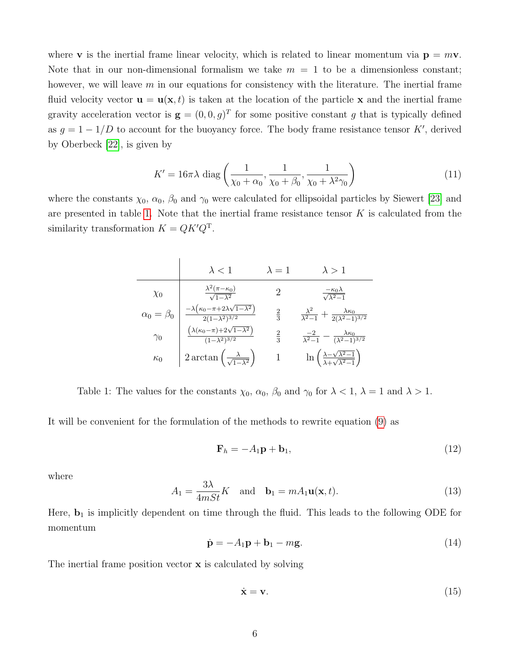where **v** is the inertial frame linear velocity, which is related to linear momentum via  $\mathbf{p} = m\mathbf{v}$ . Note that in our non-dimensional formalism we take  $m = 1$  to be a dimensionless constant; however, we will leave  $m$  in our equations for consistency with the literature. The inertial frame fluid velocity vector  $\mathbf{u} = \mathbf{u}(\mathbf{x}, t)$  is taken at the location of the particle x and the inertial frame gravity acceleration vector is  $\mathbf{g} = (0, 0, g)^T$  for some positive constant g that is typically defined as  $g = 1 - 1/D$  to account for the buoyancy force. The body frame resistance tensor K', derived by Oberbeck [\[22\]](#page-21-10), is given by

$$
K' = 16\pi\lambda \operatorname{diag}\left(\frac{1}{\chi_0 + \alpha_0}, \frac{1}{\chi_0 + \beta_0}, \frac{1}{\chi_0 + \lambda^2\gamma_0}\right) \tag{11}
$$

<span id="page-5-0"></span>where the constants  $\chi_0$ ,  $\alpha_0$ ,  $\beta_0$  and  $\gamma_0$  were calculated for ellipsoidal particles by Siewert [\[23\]](#page-21-11) and are presented in table [1.](#page-5-0) Note that the inertial frame resistance tensor  $K$  is calculated from the similarity transformation  $K = QK'Q^{T}$ .

|                      | $\lambda < 1$                                                                                | $\lambda=1$   | $\lambda > 1$                                                                   |
|----------------------|----------------------------------------------------------------------------------------------|---------------|---------------------------------------------------------------------------------|
| $\chi_0$             | $\frac{\lambda^2(\pi-\kappa_0)}{\sqrt{1-\lambda^2}}$                                         |               | $\frac{-\kappa_0\lambda}{\sqrt{\lambda^2-1}}$                                   |
| $\alpha_0 = \beta_0$ | $\frac{-\lambda \left(\kappa_0-\pi+2\lambda\sqrt{1-\lambda^2}\right)}{2(1-\lambda^2)^{3/2}}$ | $\frac{2}{3}$ | $\frac{\lambda^2}{\lambda^2-1}+\frac{\lambda\kappa_0}{2(\lambda^2-1)^{3/2}}$    |
| $\gamma_0$           | $\left(\lambda(\kappa_0-\pi)+2\sqrt{1-\lambda^2}\right)$<br>$\sqrt{(1-\lambda^2)^{3/2}}$     | $\frac{2}{3}$ | $\frac{-2}{\lambda^2-1} - \frac{\lambda \kappa_0}{(\lambda^2-1)^{3/2}}$         |
| $\kappa_0$           | $2 \arctan \left( \frac{\lambda}{\sqrt{1-\lambda^2}} \right)$                                |               | $\ln\left(\frac{\lambda-\sqrt{\lambda^2-1}}{\lambda+\sqrt{\lambda^2-1}}\right)$ |

Table 1: The values for the constants  $\chi_0$ ,  $\alpha_0$ ,  $\beta_0$  and  $\gamma_0$  for  $\lambda < 1$ ,  $\lambda = 1$  and  $\lambda > 1$ .

It will be convenient for the formulation of the methods to rewrite equation [\(9\)](#page-4-0) as

$$
\mathbf{F}_h = -A_1 \mathbf{p} + \mathbf{b}_1,\tag{12}
$$

where

<span id="page-5-1"></span>
$$
A_1 = \frac{3\lambda}{4mSt}K \quad \text{and} \quad \mathbf{b}_1 = mA_1 \mathbf{u}(\mathbf{x}, t). \tag{13}
$$

Here,  **is implicitly dependent on time through the fluid. This leads to the following ODE for** momentum

$$
\dot{\mathbf{p}} = -A_1 \mathbf{p} + \mathbf{b}_1 - m \mathbf{g}.\tag{14}
$$

The inertial frame position vector **x** is calculated by solving

$$
\dot{\mathbf{x}} = \mathbf{v}.\tag{15}
$$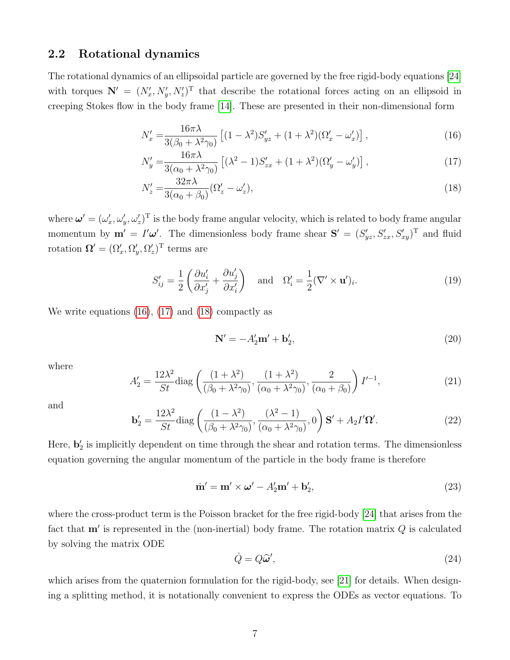#### 2.2 Rotational dynamics

The rotational dynamics of an ellipsoidal particle are governed by the free rigid-body equations [\[24\]](#page-21-12) with torques  $\mathbf{N}' = (N'_x, N'_y, N'_z)^T$  that describe the rotational forces acting on an ellipsoid in creeping Stokes flow in the body frame [\[14\]](#page-21-2). These are presented in their non-dimensional form

<span id="page-6-0"></span>
$$
N'_x = \frac{16\pi\lambda}{3(\beta_0 + \lambda^2\gamma_0)} \left[ (1 - \lambda^2)S'_{yz} + (1 + \lambda^2)(\Omega'_x - \omega'_x) \right],\tag{16}
$$

$$
N'_y = \frac{16\pi\lambda}{3(\alpha_0 + \lambda^2\gamma_0)} \left[ (\lambda^2 - 1)S'_{zx} + (1 + \lambda^2)(\Omega'_y - \omega'_y) \right],\tag{17}
$$

$$
N_z' = \frac{32\pi\lambda}{3(\alpha_0 + \beta_0)} (\Omega_z' - \omega_z'),\tag{18}
$$

where  $\boldsymbol{\omega}' = (\omega_x', \omega_y', \omega_z')^{\mathrm{T}}$  is the body frame angular velocity, which is related to body frame angular momentum by  $\mathbf{m}' = I'\boldsymbol{\omega}'$ . The dimensionless body frame shear  $\mathbf{S}' = (S'_{yz}, S'_{zx}, S'_{xy})^T$  and fluid rotation  $\mathbf{\Omega}' = (\Omega_x', \Omega_y', \Omega_z')^{\mathrm{T}}$  terms are

$$
S'_{ij} = \frac{1}{2} \left( \frac{\partial u'_i}{\partial x'_j} + \frac{\partial u'_j}{\partial x'_i} \right) \quad \text{and} \quad \Omega'_i = \frac{1}{2} (\nabla' \times \mathbf{u}')_i. \tag{19}
$$

We write equations [\(16\)](#page-6-0), [\(17\)](#page-6-1) and [\(18\)](#page-6-2) compactly as

<span id="page-6-2"></span><span id="page-6-1"></span>
$$
\mathbf{N}' = -A_2'\mathbf{m}' + \mathbf{b}_2',\tag{20}
$$

where

<span id="page-6-4"></span>
$$
A_2' = \frac{12\lambda^2}{St} \text{diag}\left(\frac{(1+\lambda^2)}{(\beta_0 + \lambda^2 \gamma_0)}, \frac{(1+\lambda^2)}{(\alpha_0 + \lambda^2 \gamma_0)}, \frac{2}{(\alpha_0 + \beta_0)}\right) I'^{-1},\tag{21}
$$

and

$$
\mathbf{b}'_2 = \frac{12\lambda^2}{St} \text{diag}\left(\frac{(1-\lambda^2)}{(\beta_0 + \lambda^2 \gamma_0)}, \frac{(\lambda^2 - 1)}{(\alpha_0 + \lambda^2 \gamma_0)}, 0\right) \mathbf{S}' + A_2 I' \Omega'.\tag{22}
$$

Here,  $\mathbf{b}'_2$  is implicitly dependent on time through the shear and rotation terms. The dimensionless equation governing the angular momentum of the particle in the body frame is therefore

$$
\dot{\mathbf{m}}' = \mathbf{m}' \times \boldsymbol{\omega}' - A_2' \mathbf{m}' + \mathbf{b}_2',\tag{23}
$$

where the cross-product term is the Poisson bracket for the free rigid-body [\[24\]](#page-21-12) that arises from the fact that  $m'$  is represented in the (non-inertial) body frame. The rotation matrix  $Q$  is calculated by solving the matrix ODE

<span id="page-6-3"></span>
$$
\dot{Q} = Q\hat{\omega}',\tag{24}
$$

which arises from the quaternion formulation for the rigid-body, see [\[21\]](#page-21-9) for details. When designing a splitting method, it is notationally convenient to express the ODEs as vector equations. To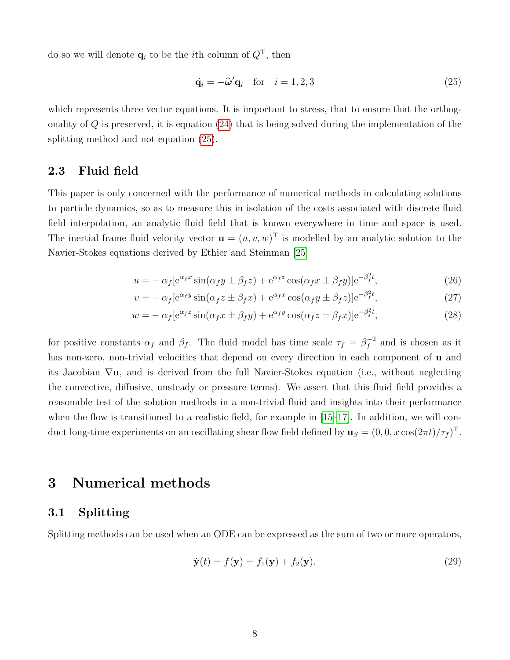do so we will denote  $\mathbf{q}_i$  to be the *i*th column of  $Q^T$ , then

<span id="page-7-1"></span>
$$
\dot{\mathbf{q}}_i = -\hat{\boldsymbol{\omega}}' \mathbf{q}_i \quad \text{for} \quad i = 1, 2, 3 \tag{25}
$$

which represents three vector equations. It is important to stress, that to ensure that the orthogonality of  $Q$  is preserved, it is equation  $(24)$  that is being solved during the implementation of the splitting method and not equation [\(25\)](#page-7-1).

### <span id="page-7-0"></span>2.3 Fluid field

This paper is only concerned with the performance of numerical methods in calculating solutions to particle dynamics, so as to measure this in isolation of the costs associated with discrete fluid field interpolation, an analytic fluid field that is known everywhere in time and space is used. The inertial frame fluid velocity vector  $\mathbf{u} = (u, v, w)^T$  is modelled by an analytic solution to the Navier-Stokes equations derived by Ethier and Steinman [\[25\]](#page-21-13)

<span id="page-7-3"></span>
$$
u = -\alpha_f [e^{\alpha_f x} \sin(\alpha_f y \pm \beta_f z) + e^{\alpha_f z} \cos(\alpha_f x \pm \beta_f y)] e^{-\beta_f^2 t},
$$
\n(26)

<span id="page-7-5"></span><span id="page-7-4"></span>
$$
v = -\alpha_f [e^{\alpha_f y} \sin(\alpha_f z \pm \beta_f x) + e^{\alpha_f x} \cos(\alpha_f y \pm \beta_f z)] e^{-\beta_f^2 t},
$$
\n(27)

$$
w = -\alpha_f [e^{\alpha_f z} \sin(\alpha_f x \pm \beta_f y) + e^{\alpha_f y} \cos(\alpha_f z \pm \beta_f x)] e^{-\beta_f^2 t},
$$
\n(28)

for positive constants  $\alpha_f$  and  $\beta_f$ . The fluid model has time scale  $\tau_f = \beta_f^{-2}$  $f^{-2}$  and is chosen as it has non-zero, non-trivial velocities that depend on every direction in each component of **u** and its Jacobian  $\nabla u$ , and is derived from the full Navier-Stokes equation (i.e., without neglecting the convective, diffusive, unsteady or pressure terms). We assert that this fluid field provides a reasonable test of the solution methods in a non-trivial fluid and insights into their performance when the flow is transitioned to a realistic field, for example in  $[15-17]$  $[15-17]$ . In addition, we will conduct long-time experiments on an oscillating shear flow field defined by  $\mathbf{u}_S = (0, 0, x \cos(2\pi t)/\tau_f)^T$ .

# 3 Numerical methods

#### 3.1 Splitting

Splitting methods can be used when an ODE can be expressed as the sum of two or more operators,

<span id="page-7-2"></span>
$$
\dot{\mathbf{y}}(t) = f(\mathbf{y}) = f_1(\mathbf{y}) + f_2(\mathbf{y}),
$$
\n(29)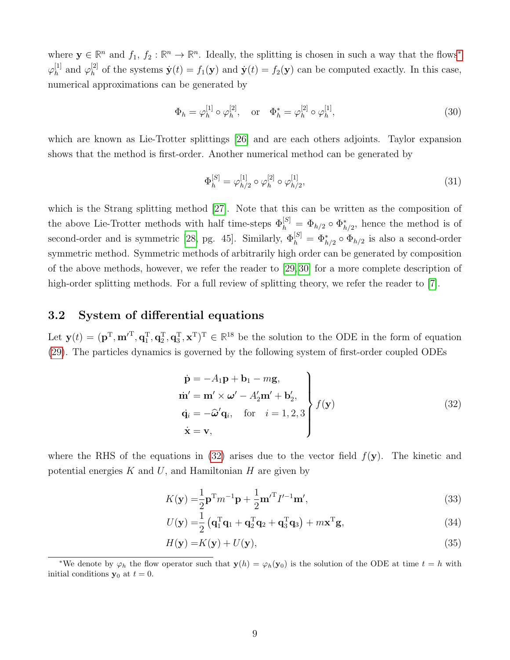where  $y \in \mathbb{R}^n$  and  $f_1, f_2 : \mathbb{R}^n \to \mathbb{R}^n$ . Ideally, the splitting is chosen in such a way that the flows<sup>\*</sup>  $\varphi^{[1]}_h$  $_{h}^{[1]}$  and  $\varphi_h^{[2]}$  $\dot{y}_h^{[2]}$  of the systems  $\dot{y}(t) = f_1(y)$  and  $\dot{y}(t) = f_2(y)$  can be computed exactly. In this case, numerical approximations can be generated by

$$
\Phi_h = \varphi_h^{[1]} \circ \varphi_h^{[2]}, \quad \text{or} \quad \Phi_h^* = \varphi_h^{[2]} \circ \varphi_h^{[1]}, \tag{30}
$$

which are known as Lie-Trotter splittings [\[26\]](#page-21-14) and are each others adjoints. Taylor expansion shows that the method is first-order. Another numerical method can be generated by

<span id="page-8-2"></span>
$$
\Phi_h^{[S]} = \varphi_{h/2}^{[1]} \circ \varphi_h^{[2]} \circ \varphi_{h/2}^{[1]},\tag{31}
$$

which is the Strang splitting method [\[27\]](#page-22-0). Note that this can be written as the composition of the above Lie-Trotter methods with half time-steps  $\Phi_h^{[S]} = \Phi_{h/2} \circ \Phi_{h/2}^*$ , hence the method is of second-order and is symmetric [\[28,](#page-22-1) pg. 45]. Similarly,  $\Phi_h^{[S]} = \Phi_{h/2}^* \circ \Phi_{h/2}$  is also a second-order symmetric method. Symmetric methods of arbitrarily high order can be generated by composition of the above methods, however, we refer the reader to [\[29,](#page-22-2) [30\]](#page-22-3) for a more complete description of high-order splitting methods. For a full review of splitting theory, we refer the reader to [\[7\]](#page-20-6).

#### 3.2 System of differential equations

Let  $\mathbf{y}(t) = (\mathbf{p}^T, \mathbf{m'}^T, \mathbf{q}_1^T, \mathbf{q}_2^T, \mathbf{q}_3^T, \mathbf{x}^T)^T \in \mathbb{R}^{18}$  be the solution to the ODE in the form of equation [\(29\)](#page-7-2). The particles dynamics is governed by the following system of first-order coupled ODEs

<span id="page-8-1"></span>
$$
\begin{aligned}\n\dot{\mathbf{p}} &= -A_1 \mathbf{p} + \mathbf{b}_1 - m \mathbf{g}, \\
\dot{\mathbf{m}}' &= \mathbf{m}' \times \boldsymbol{\omega}' - A_2' \mathbf{m}' + \mathbf{b}_2', \\
\dot{\mathbf{q}}_i &= -\hat{\boldsymbol{\omega}}' \mathbf{q}_i, \quad \text{for} \quad i = 1, 2, 3 \\
\dot{\mathbf{x}} &= \mathbf{v},\n\end{aligned}
$$
\n(32)

where the RHS of the equations in [\(32\)](#page-8-1) arises due to the vector field  $f(\mathbf{y})$ . The kinetic and potential energies  $K$  and  $U$ , and Hamiltonian  $H$  are given by

$$
K(\mathbf{y}) = \frac{1}{2}\mathbf{p}^{\mathrm{T}}m^{-1}\mathbf{p} + \frac{1}{2}\mathbf{m}'^{\mathrm{T}}I'^{-1}\mathbf{m}',\tag{33}
$$

$$
U(\mathbf{y}) = \frac{1}{2} \left( \mathbf{q}_1^{\mathrm{T}} \mathbf{q}_1 + \mathbf{q}_2^{\mathrm{T}} \mathbf{q}_2 + \mathbf{q}_3^{\mathrm{T}} \mathbf{q}_3 \right) + m \mathbf{x}^{\mathrm{T}} \mathbf{g},\tag{34}
$$

<span id="page-8-3"></span>
$$
H(\mathbf{y}) = K(\mathbf{y}) + U(\mathbf{y}),\tag{35}
$$

<span id="page-8-0"></span><sup>\*</sup>We denote by  $\varphi_h$  the flow operator such that  $y(h) = \varphi_h(y_0)$  is the solution of the ODE at time  $t = h$  with initial conditions  $y_0$  at  $t = 0$ .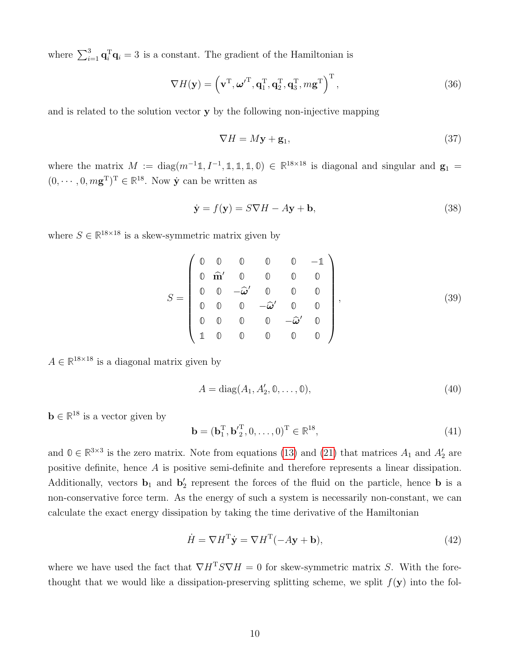where  $\sum_{i=1}^{3} \mathbf{q}_{i}^{\mathrm{T}} \mathbf{q}_{i} = 3$  is a constant. The gradient of the Hamiltonian is

$$
\nabla H(\mathbf{y}) = \left(\mathbf{v}^{\mathrm{T}}, \boldsymbol{\omega'}^{\mathrm{T}}, \mathbf{q}_1^{\mathrm{T}}, \mathbf{q}_2^{\mathrm{T}}, \mathbf{q}_3^{\mathrm{T}}, m\mathbf{g}^{\mathrm{T}}\right)^{\mathrm{T}},
$$
\n(36)

and is related to the solution vector y by the following non-injective mapping

$$
\nabla H = M\mathbf{y} + \mathbf{g}_1,\tag{37}
$$

where the matrix  $M := diag(m^{-1}1, I^{-1}, 1, 1, 1, 0) \in \mathbb{R}^{18 \times 18}$  is diagonal and singular and  $\mathbf{g}_1 =$  $(0, \dots, 0, m\mathbf{g}^T)^T \in \mathbb{R}^{18}$ . Now  $\dot{\mathbf{y}}$  can be written as

$$
\dot{\mathbf{y}} = f(\mathbf{y}) = S\nabla H - A\mathbf{y} + \mathbf{b},\tag{38}
$$

where  $S \in \mathbb{R}^{18 \times 18}$  is a skew-symmetric matrix given by

$$
S = \begin{pmatrix} 0 & 0 & 0 & 0 & -1 \\ 0 & \hat{\mathbf{m}}' & 0 & 0 & 0 & 0 \\ 0 & 0 & -\hat{\omega}' & 0 & 0 & 0 \\ 0 & 0 & 0 & -\hat{\omega}' & 0 & 0 \\ 0 & 0 & 0 & 0 & -\hat{\omega}' & 0 \\ 1 & 0 & 0 & 0 & 0 & 0 \end{pmatrix},
$$
(39)

 $A \in \mathbb{R}^{18 \times 18}$  is a diagonal matrix given by

$$
A = \text{diag}(A_1, A_2', \mathbb{0}, \dots, \mathbb{0}),\tag{40}
$$

 $\mathbf{b} \in \mathbb{R}^{18}$  is a vector given by

$$
\mathbf{b} = (\mathbf{b}_1^{\mathrm{T}}, \mathbf{b'}_2^{\mathrm{T}}, 0, \dots, 0)^{\mathrm{T}} \in \mathbb{R}^{18},\tag{41}
$$

and  $0 \in \mathbb{R}^{3 \times 3}$  is the zero matrix. Note from equations [\(13\)](#page-5-1) and [\(21\)](#page-6-4) that matrices  $A_1$  and  $A_2'$  are positive definite, hence A is positive semi-definite and therefore represents a linear dissipation. Additionally, vectors  $\mathbf{b}_1$  and  $\mathbf{b}'_2$  represent the forces of the fluid on the particle, hence **b** is a non-conservative force term. As the energy of such a system is necessarily non-constant, we can calculate the exact energy dissipation by taking the time derivative of the Hamiltonian

<span id="page-9-0"></span>
$$
\dot{H} = \nabla H^{\mathrm{T}} \dot{\mathbf{y}} = \nabla H^{\mathrm{T}} (-A\mathbf{y} + \mathbf{b}),\tag{42}
$$

where we have used the fact that  $\nabla H^T S \nabla H = 0$  for skew-symmetric matrix S. With the forethought that we would like a dissipation-preserving splitting scheme, we split  $f(\mathbf{y})$  into the fol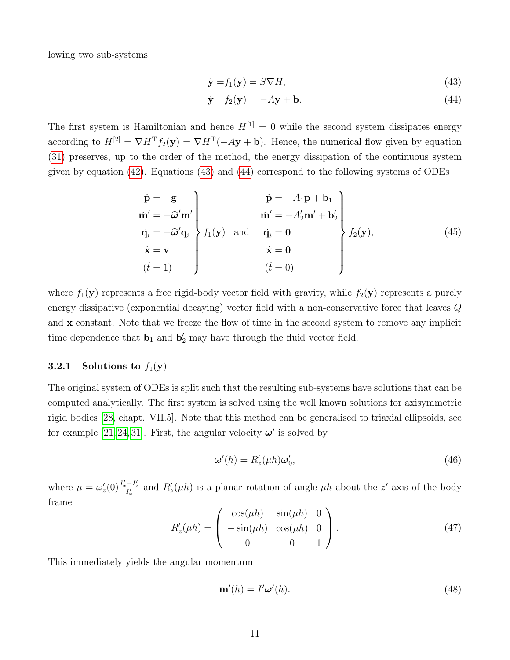lowing two sub-systems

<span id="page-10-1"></span><span id="page-10-0"></span>
$$
\dot{\mathbf{y}} = f_1(\mathbf{y}) = S \nabla H,\tag{43}
$$

$$
\dot{\mathbf{y}} = f_2(\mathbf{y}) = -A\mathbf{y} + \mathbf{b}.\tag{44}
$$

The first system is Hamiltonian and hence  $\dot{H}^{[1]} = 0$  while the second system dissipates energy according to  $\dot{H}^{[2]} = \nabla H^{T} f_2(\mathbf{y}) = \nabla H^{T} (-A\mathbf{y} + \mathbf{b}).$  Hence, the numerical flow given by equation [\(31\)](#page-8-2) preserves, up to the order of the method, the energy dissipation of the continuous system given by equation [\(42\)](#page-9-0). Equations [\(43\)](#page-10-0) and [\(44\)](#page-10-1) correspond to the following systems of ODEs

<span id="page-10-2"></span>
$$
\begin{aligned}\n\dot{\mathbf{p}} &= -\mathbf{g} \\
\dot{\mathbf{m}}' &= -\hat{\omega}' \mathbf{m}' \\
\dot{\mathbf{q}}_i &= -\hat{\omega}' \mathbf{q}_i \\
\dot{\mathbf{x}} &= \mathbf{v} \\
(i = 1)\n\end{aligned}\n\quad\n\begin{aligned}\n\dot{\mathbf{p}} &= -A_1 \mathbf{p} + \mathbf{b}_1 \\
\dot{\mathbf{m}}' &= -A_2' \mathbf{m}' + \mathbf{b}_2' \\
\dot{\mathbf{q}}_i &= 0 \\
\dot{\mathbf{x}} &= 0 \\
(i = 0)\n\end{aligned}\n\right\} f_2(\mathbf{y}),\n\tag{45}
$$

where  $f_1(\mathbf{y})$  represents a free rigid-body vector field with gravity, while  $f_2(\mathbf{y})$  represents a purely energy dissipative (exponential decaying) vector field with a non-conservative force that leaves Q and x constant. Note that we freeze the flow of time in the second system to remove any implicit time dependence that  $\mathbf{b}_1$  and  $\mathbf{b}'_2$  may have through the fluid vector field.

#### 3.2.1 Solutions to  $f_1(\mathbf{y})$

The original system of ODEs is split such that the resulting sub-systems have solutions that can be computed analytically. The first system is solved using the well known solutions for axisymmetric rigid bodies [\[28,](#page-22-1) chapt. VII.5]. Note that this method can be generalised to triaxial ellipsoids, see for example [\[21,](#page-21-9) [24,](#page-21-12) [31\]](#page-22-4). First, the angular velocity  $\omega'$  is solved by

$$
\boldsymbol{\omega}'(h) = R_z'(\mu h)\boldsymbol{\omega}'_0,\tag{46}
$$

where  $\mu = \omega_z'(0) \frac{I_x'-I_z'}{I_x'}$  and  $R_z'(\mu h)$  is a planar rotation of angle  $\mu h$  about the z' axis of the body frame

$$
R'_{z}(\mu h) = \begin{pmatrix} \cos(\mu h) & \sin(\mu h) & 0 \\ -\sin(\mu h) & \cos(\mu h) & 0 \\ 0 & 0 & 1 \end{pmatrix}.
$$
 (47)

This immediately yields the angular momentum

$$
\mathbf{m}'(h) = I'\boldsymbol{\omega}'(h). \tag{48}
$$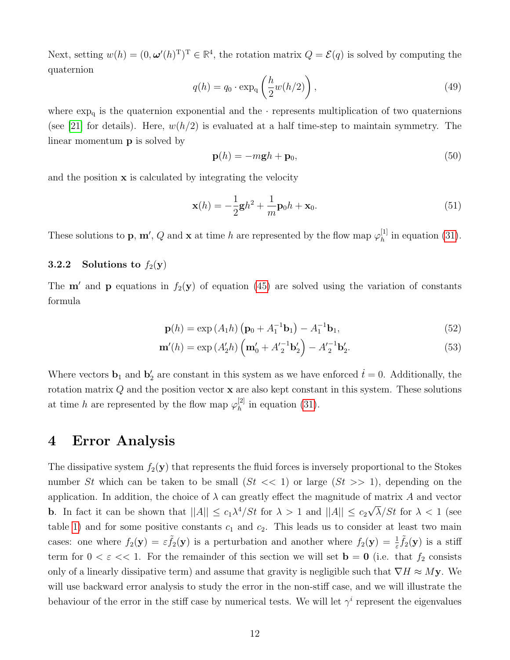Next, setting  $w(h) = (0, \omega'(h)^T)^T \in \mathbb{R}^4$ , the rotation matrix  $Q = \mathcal{E}(q)$  is solved by computing the quaternion

$$
q(h) = q_0 \cdot \exp_q\left(\frac{h}{2}w(h/2)\right),\tag{49}
$$

where  $\exp_{\mathbf{q}}$  is the quaternion exponential and the  $\cdot$  represents multiplication of two quaternions (see [\[21\]](#page-21-9) for details). Here,  $w(h/2)$  is evaluated at a half time-step to maintain symmetry. The linear momentum p is solved by

$$
\mathbf{p}(h) = -m\mathbf{g}h + \mathbf{p}_0,\tag{50}
$$

and the position  $x$  is calculated by integrating the velocity

$$
\mathbf{x}(h) = -\frac{1}{2}\mathbf{g}h^2 + \frac{1}{m}\mathbf{p}_0h + \mathbf{x}_0.
$$
\n(51)

These solutions to **p**, **m'**, Q and **x** at time h are represented by the flow map  $\varphi_h^{[1]}$  $h^{\text{[1]}}$  in equation [\(31\)](#page-8-2).

#### 3.2.2 Solutions to  $f_2(y)$

The **m'** and **p** equations in  $f_2(\mathbf{y})$  of equation [\(45\)](#page-10-2) are solved using the variation of constants formula

$$
\mathbf{p}(h) = \exp(A_1 h) \left( \mathbf{p}_0 + A_1^{-1} \mathbf{b}_1 \right) - A_1^{-1} \mathbf{b}_1, \tag{52}
$$

$$
\mathbf{m}'(h) = \exp(A_2'h) \left( \mathbf{m}'_0 + A_2'^{-1} \mathbf{b}'_2 \right) - A_2'^{-1} \mathbf{b}'_2. \tag{53}
$$

Where vectors  $\mathbf{b}_1$  and  $\mathbf{b}'_2$  are constant in this system as we have enforced  $\dot{t} = 0$ . Additionally, the rotation matrix  $Q$  and the position vector  $x$  are also kept constant in this system. These solutions at time h are represented by the flow map  $\varphi_h^{[2]}$  $h^{\text{[2]}}$  in equation [\(31\)](#page-8-2).

### 4 Error Analysis

The dissipative system  $f_2(\mathbf{y})$  that represents the fluid forces is inversely proportional to the Stokes number St which can be taken to be small  $(St \ll 1)$  or large  $(St \gg 1)$ , depending on the application. In addition, the choice of  $\lambda$  can greatly effect the magnitude of matrix A and vector **b**. In fact it can be shown that  $||A|| \leq c_1 \lambda^4 / St$  for  $\lambda > 1$  and  $||A|| \leq c_2$ √  $\lambda/St$  for  $\lambda < 1$  (see table [1\)](#page-5-0) and for some positive constants  $c_1$  and  $c_2$ . This leads us to consider at least two main cases: one where  $f_2(y) = \varepsilon \tilde{f}_2(y)$  is a perturbation and another where  $f_2(y) = \frac{1}{\varepsilon} \tilde{f}_2(y)$  is a stiff term for  $0 < \varepsilon \ll 1$ . For the remainder of this section we will set  $\mathbf{b} = \mathbf{0}$  (i.e. that  $f_2$  consists only of a linearly dissipative term) and assume that gravity is negligible such that  $\nabla H \approx M$ y. We will use backward error analysis to study the error in the non-stiff case, and we will illustrate the behaviour of the error in the stiff case by numerical tests. We will let  $\gamma^i$  represent the eigenvalues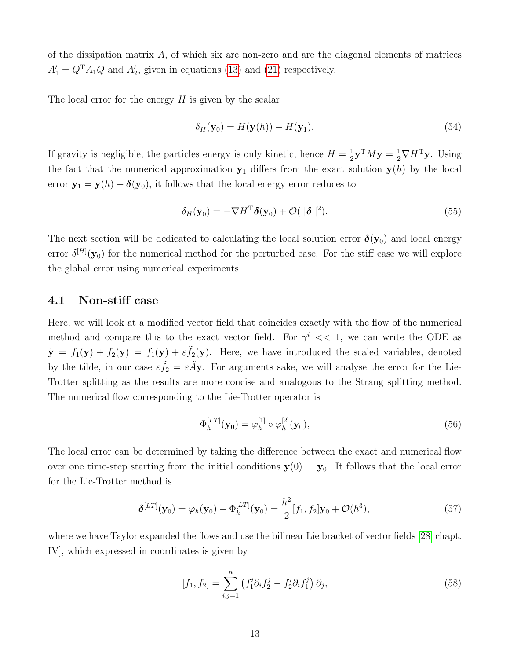of the dissipation matrix  $A$ , of which six are non-zero and are the diagonal elements of matrices  $A'_1 = Q^{\mathrm{T}} A_1 Q$  and  $A'_2$ , given in equations [\(13\)](#page-5-1) and [\(21\)](#page-6-4) respectively.

The local error for the energy  $H$  is given by the scalar

$$
\delta_H(\mathbf{y}_0) = H(\mathbf{y}(h)) - H(\mathbf{y}_1). \tag{54}
$$

If gravity is negligible, the particles energy is only kinetic, hence  $H = \frac{1}{2}$  $\frac{1}{2}$ **y**<sup>T</sup>*M***y** =  $\frac{1}{2}$  $\nabla$ *H*<sup>T</sup>**y**. Using the fact that the numerical approximation  $y_1$  differs from the exact solution  $y(h)$  by the local error  $y_1 = y(h) + \delta(y_0)$ , it follows that the local energy error reduces to

<span id="page-12-1"></span>
$$
\delta_H(\mathbf{y}_0) = -\nabla H^{\mathrm{T}} \delta(\mathbf{y}_0) + \mathcal{O}(||\delta||^2). \tag{55}
$$

The next section will be dedicated to calculating the local solution error  $\delta(y_0)$  and local energy error  $\delta^{[H]}(\mathbf{y}_0)$  for the numerical method for the perturbed case. For the stiff case we will explore the global error using numerical experiments.

#### 4.1 Non-stiff case

Here, we will look at a modified vector field that coincides exactly with the flow of the numerical method and compare this to the exact vector field. For  $\gamma^i \ll 1$ , we can write the ODE as  $\dot{\mathbf{y}} = f_1(\mathbf{y}) + f_2(\mathbf{y}) = f_1(\mathbf{y}) + \varepsilon \tilde{f}_2(\mathbf{y})$ . Here, we have introduced the scaled variables, denoted by the tilde, in our case  $\varepsilon \tilde{f}_2 = \varepsilon \tilde{A}$ y. For arguments sake, we will analyse the error for the Lie-Trotter splitting as the results are more concise and analogous to the Strang splitting method. The numerical flow corresponding to the Lie-Trotter operator is

$$
\Phi_h^{[LT]}(\mathbf{y}_0) = \varphi_h^{[1]} \circ \varphi_h^{[2]}(\mathbf{y}_0),\tag{56}
$$

The local error can be determined by taking the difference between the exact and numerical flow over one time-step starting from the initial conditions  $y(0) = y_0$ . It follows that the local error for the Lie-Trotter method is

<span id="page-12-0"></span>
$$
\boldsymbol{\delta}^{[LT]}(\mathbf{y}_0) = \varphi_h(\mathbf{y}_0) - \Phi_h^{[LT]}(\mathbf{y}_0) = \frac{h^2}{2} [f_1, f_2] \mathbf{y}_0 + \mathcal{O}(h^3), \tag{57}
$$

where we have Taylor expanded the flows and use the bilinear Lie bracket of vector fields [\[28,](#page-22-1) chapt. IV], which expressed in coordinates is given by

$$
[f_1, f_2] = \sum_{i,j=1}^n (f_1^i \partial_i f_2^j - f_2^i \partial_i f_1^j) \partial_j,
$$
 (58)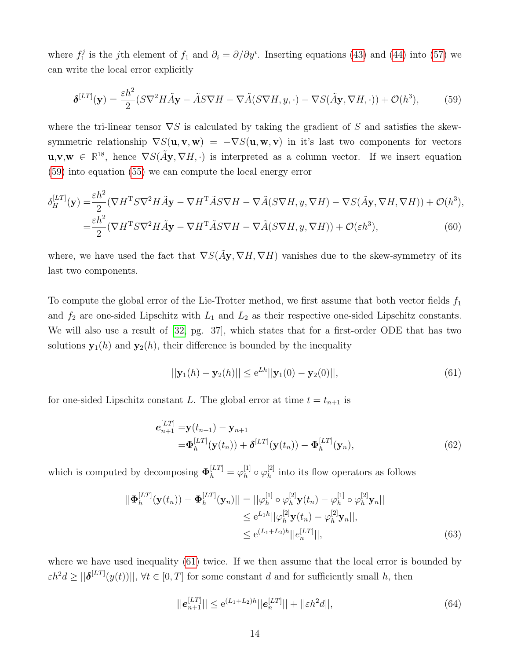where  $f_1^j$ <sup>j</sup> is the jth element of  $f_1$  and  $\partial_i = \partial/\partial y^i$ . Inserting equations [\(43\)](#page-10-0) and [\(44\)](#page-10-1) into [\(57\)](#page-12-0) we can write the local error explicitly

<span id="page-13-0"></span>
$$
\delta^{[LT]}(\mathbf{y}) = \frac{\varepsilon h^2}{2} (S \nabla^2 H \tilde{A} \mathbf{y} - \tilde{A} S \nabla H - \nabla \tilde{A} (S \nabla H, y, \cdot) - \nabla S (\tilde{A} \mathbf{y}, \nabla H, \cdot)) + \mathcal{O}(h^3),\tag{59}
$$

where the tri-linear tensor  $\nabla S$  is calculated by taking the gradient of S and satisfies the skewsymmetric relationship  $\nabla S(\mathbf{u}, \mathbf{v}, \mathbf{w}) = -\nabla S(\mathbf{u}, \mathbf{w}, \mathbf{v})$  in it's last two components for vectors  $\mathbf{u}, \mathbf{v}, \mathbf{w} \in \mathbb{R}^{18}$ , hence  $\nabla S(\tilde{A}\mathbf{y}, \nabla H, \cdot)$  is interpreted as a column vector. If we insert equation [\(59\)](#page-13-0) into equation [\(55\)](#page-12-1) we can compute the local energy error

$$
\delta_H^{[LT]}(\mathbf{y}) = \frac{\varepsilon h^2}{2} (\nabla H^{\mathrm{T}} S \nabla^2 H \tilde{A} \mathbf{y} - \nabla H^{\mathrm{T}} \tilde{A} S \nabla H - \nabla \tilde{A} (S \nabla H, y, \nabla H) - \nabla S (\tilde{A} \mathbf{y}, \nabla H, \nabla H)) + \mathcal{O}(h^3),
$$
  
= 
$$
\frac{\varepsilon h^2}{2} (\nabla H^{\mathrm{T}} S \nabla^2 H \tilde{A} \mathbf{y} - \nabla H^{\mathrm{T}} \tilde{A} S \nabla H - \nabla \tilde{A} (S \nabla H, y, \nabla H)) + \mathcal{O}(\varepsilon h^3),
$$
(60)

where, we have used the fact that  $\nabla S(\tilde{A}y, \nabla H, \nabla H)$  vanishes due to the skew-symmetry of its last two components.

To compute the global error of the Lie-Trotter method, we first assume that both vector fields  $f_1$ and  $f_2$  are one-sided Lipschitz with  $L_1$  and  $L_2$  as their respective one-sided Lipschitz constants. We will also use a result of [\[32,](#page-22-5) pg. 37], which states that for a first-order ODE that has two solutions  $y_1(h)$  and  $y_2(h)$ , their difference is bounded by the inequality

<span id="page-13-1"></span>
$$
||\mathbf{y}_1(h) - \mathbf{y}_2(h)|| \le e^{Lh}||\mathbf{y}_1(0) - \mathbf{y}_2(0)||,
$$
\n(61)

for one-sided Lipschitz constant L. The global error at time  $t = t_{n+1}$  is

$$
\mathbf{e}_{n+1}^{[LT]} = \mathbf{y}(t_{n+1}) - \mathbf{y}_{n+1} \n= \mathbf{\Phi}_h^{[LT]}(\mathbf{y}(t_n)) + \mathbf{\delta}^{[LT]}(\mathbf{y}(t_n)) - \mathbf{\Phi}_h^{[LT]}(\mathbf{y}_n),
$$
\n(62)

which is computed by decomposing  $\mathbf{\Phi}_h^{[LT]} = \varphi_h^{[1]}$  $_h^{[1]} \circ \varphi_h^{[2]}$  $h^{\{2\}}$  into its flow operators as follows

$$
||\mathbf{\Phi}_h^{[LT]}(\mathbf{y}(t_n)) - \mathbf{\Phi}_h^{[LT]}(\mathbf{y}_n)|| = ||\varphi_h^{[1]} \circ \varphi_h^{[2]} \mathbf{y}(t_n) - \varphi_h^{[1]} \circ \varphi_h^{[2]} \mathbf{y}_n||
$$
  
\n
$$
\leq e^{L_1 h} ||\varphi_h^{[2]} \mathbf{y}(t_n) - \varphi_h^{[2]} \mathbf{y}_n||,
$$
  
\n
$$
\leq e^{(L_1 + L_2)h} ||e_n^{[LT]}||,
$$
\n(63)

where we have used inequality [\(61\)](#page-13-1) twice. If we then assume that the local error is bounded by  $\varepsilon h^2 d \ge ||\boldsymbol{\delta}^{[LT]}(y(t))||$ ,  $\forall t \in [0, T]$  for some constant d and for sufficiently small h, then

$$
||e_{n+1}^{[LT]}|| \le e^{(L_1 + L_2)h}||e_n^{[LT]}|| + ||\varepsilon h^2 d||,
$$
\n(64)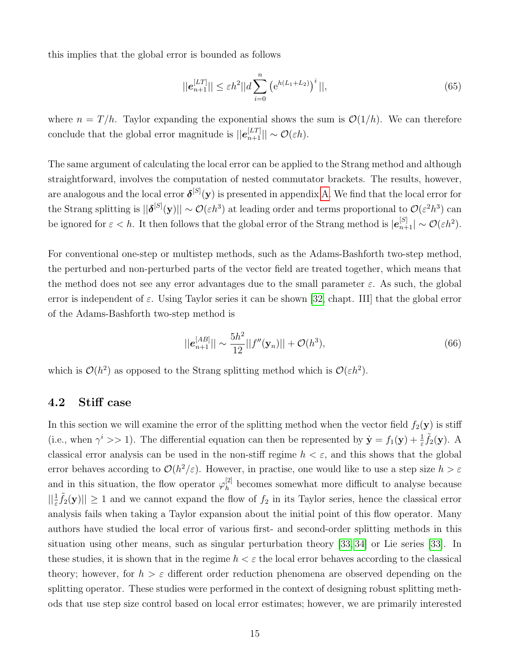this implies that the global error is bounded as follows

$$
||\boldsymbol{e}_{n+1}^{[LT]}|| \le \varepsilon h^2 ||d \sum_{i=0}^n \left( e^{h(L_1 + L_2)} \right)^i ||,
$$
\n(65)

where  $n = T/h$ . Taylor expanding the exponential shows the sum is  $\mathcal{O}(1/h)$ . We can therefore conclude that the global error magnitude is  $||e_{n+1}^{[LT]}|| \sim \mathcal{O}(\varepsilon h)$ .

The same argument of calculating the local error can be applied to the Strang method and although straightforward, involves the computation of nested commutator brackets. The results, however, are analogous and the local error  $\delta^{[S]}(\mathbf{y})$  is presented in appendix [A.](#page-22-6) We find that the local error for the Strang splitting is  $||\boldsymbol{\delta}^{[S]}(\mathbf{y})|| \sim \mathcal{O}(\varepsilon h^3)$  at leading order and terms proportional to  $\mathcal{O}(\varepsilon^2 h^3)$  can be ignored for  $\varepsilon < h$ . It then follows that the global error of the Strang method is  $|e_{n+1}^{[S]}| \sim \mathcal{O}(\varepsilon h^2)$ .

For conventional one-step or multistep methods, such as the Adams-Bashforth two-step method, the perturbed and non-perturbed parts of the vector field are treated together, which means that the method does not see any error advantages due to the small parameter  $\varepsilon$ . As such, the global error is independent of  $\varepsilon$ . Using Taylor series it can be shown [\[32,](#page-22-5) chapt. III] that the global error of the Adams-Bashforth two-step method is

$$
||\boldsymbol{e}_{n+1}^{[AB]}|| \sim \frac{5h^2}{12}||f''(\mathbf{y}_n)|| + \mathcal{O}(h^3), \tag{66}
$$

which is  $\mathcal{O}(h^2)$  as opposed to the Strang splitting method which is  $\mathcal{O}(\varepsilon h^2)$ .

### 4.2 Stiff case

In this section we will examine the error of the splitting method when the vector field  $f_2(\mathbf{y})$  is stiff (i.e., when  $\gamma^i >> 1$ ). The differential equation can then be represented by  $\dot{\mathbf{y}} = f_1(\mathbf{y}) + \frac{1}{\varepsilon} \tilde{f}_2(\mathbf{y})$ . A classical error analysis can be used in the non-stiff regime  $h < \varepsilon$ , and this shows that the global error behaves according to  $\mathcal{O}(h^2/\varepsilon)$ . However, in practise, one would like to use a step size  $h > \varepsilon$ and in this situation, the flow operator  $\varphi_h^{[2]}$  $h^{\{2\}}$  becomes somewhat more difficult to analyse because  $||\frac{1}{\varepsilon}\tilde{f}_2(\mathbf{y})|| \geq 1$  and we cannot expand the flow of  $f_2$  in its Taylor series, hence the classical error analysis fails when taking a Taylor expansion about the initial point of this flow operator. Many authors have studied the local error of various first- and second-order splitting methods in this situation using other means, such as singular perturbation theory [\[33,](#page-22-7) [34\]](#page-22-8) or Lie series [\[33\]](#page-22-7). In these studies, it is shown that in the regime  $h < \varepsilon$  the local error behaves according to the classical theory; however, for  $h > \varepsilon$  different order reduction phenomena are observed depending on the splitting operator. These studies were performed in the context of designing robust splitting methods that use step size control based on local error estimates; however, we are primarily interested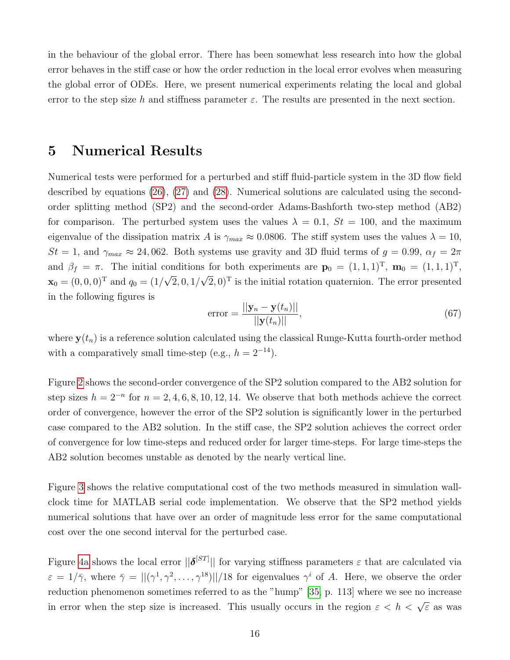in the behaviour of the global error. There has been somewhat less research into how the global error behaves in the stiff case or how the order reduction in the local error evolves when measuring the global error of ODEs. Here, we present numerical experiments relating the local and global error to the step size h and stiffness parameter  $\varepsilon$ . The results are presented in the next section.

### <span id="page-15-0"></span>5 Numerical Results

Numerical tests were performed for a perturbed and stiff fluid-particle system in the 3D flow field described by equations [\(26\)](#page-7-3), [\(27\)](#page-7-4) and [\(28\)](#page-7-5). Numerical solutions are calculated using the secondorder splitting method (SP2) and the second-order Adams-Bashforth two-step method (AB2) for comparison. The perturbed system uses the values  $\lambda = 0.1$ ,  $St = 100$ , and the maximum eigenvalue of the dissipation matrix A is  $\gamma_{max} \approx 0.0806$ . The stiff system uses the values  $\lambda = 10$ ,  $St = 1$ , and  $\gamma_{max} \approx 24,062$ . Both systems use gravity and 3D fluid terms of  $g = 0.99$ ,  $\alpha_f = 2\pi$ and  $\beta_f = \pi$ . The initial conditions for both experiments are  $\mathbf{p}_0 = (1, 1, 1)^T$ ,  $\mathbf{m}_0 = (1, 1, 1)^T$ ,  $\mathbf{x}_0 = (0, 0, 0)^T$  and  $q_0 = (1/$ √  $\left|2,0,1\right\rangle$ √  $(2,0)^T$  is the initial rotation quaternion. The error presented in the following figures is

$$
\text{error} = \frac{||\mathbf{y}_n - \mathbf{y}(t_n)||}{||\mathbf{y}(t_n)||},\tag{67}
$$

where  $y(t_n)$  is a reference solution calculated using the classical Runge-Kutta fourth-order method with a comparatively small time-step (e.g.,  $h = 2^{-14}$ ).

Figure [2](#page-16-0) shows the second-order convergence of the SP2 solution compared to the AB2 solution for step sizes  $h = 2^{-n}$  for  $n = 2, 4, 6, 8, 10, 12, 14$ . We observe that both methods achieve the correct order of convergence, however the error of the SP2 solution is significantly lower in the perturbed case compared to the AB2 solution. In the stiff case, the SP2 solution achieves the correct order of convergence for low time-steps and reduced order for larger time-steps. For large time-steps the AB2 solution becomes unstable as denoted by the nearly vertical line.

Figure [3](#page-16-1) shows the relative computational cost of the two methods measured in simulation wallclock time for MATLAB serial code implementation. We observe that the SP2 method yields numerical solutions that have over an order of magnitude less error for the same computational cost over the one second interval for the perturbed case.

Figure [4a](#page-17-0) shows the local error  $\|\boldsymbol{\delta}^{[ST]}\|$  for varying stiffness parameters  $\varepsilon$  that are calculated via  $\varepsilon = 1/\overline{\gamma}$ , where  $\overline{\gamma} = ||(\gamma^1, \gamma^2, \dots, \gamma^{18})||/18$  for eigenvalues  $\gamma^i$  of A. Here, we observe the order reduction phenomenon sometimes referred to as the "hump" [\[35,](#page-22-9) p. 113] where we see no increase in error when the step size is increased. This usually occurs in the region  $\varepsilon < h < \sqrt{\varepsilon}$  as was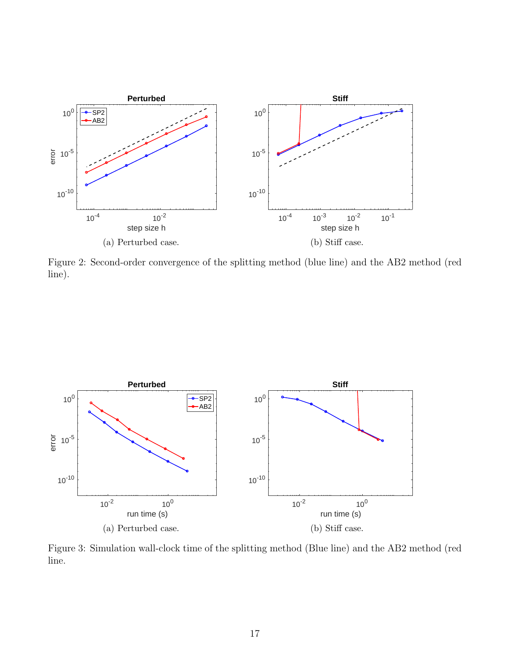<span id="page-16-0"></span>

Figure 2: Second-order convergence of the splitting method (blue line) and the AB2 method (red line).

<span id="page-16-1"></span>

Figure 3: Simulation wall-clock time of the splitting method (Blue line) and the AB2 method (red line.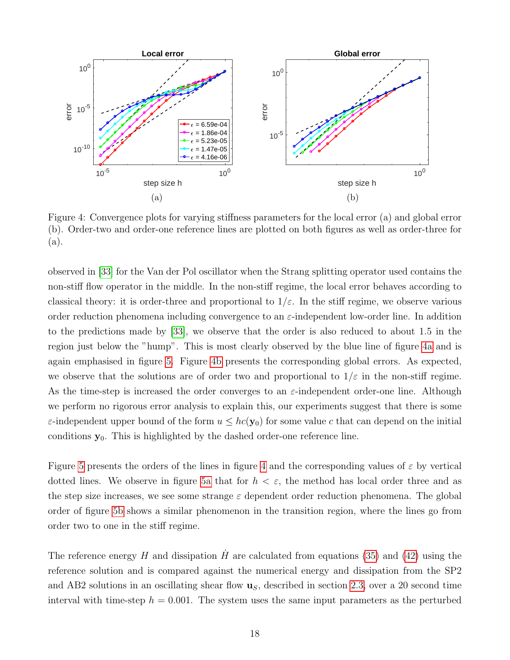<span id="page-17-0"></span>

Figure 4: Convergence plots for varying stiffness parameters for the local error (a) and global error (b). Order-two and order-one reference lines are plotted on both figures as well as order-three for (a).

observed in [\[33\]](#page-22-7) for the Van der Pol oscillator when the Strang splitting operator used contains the non-stiff flow operator in the middle. In the non-stiff regime, the local error behaves according to classical theory: it is order-three and proportional to  $1/\varepsilon$ . In the stiff regime, we observe various order reduction phenomena including convergence to an  $\varepsilon$ -independent low-order line. In addition to the predictions made by [\[33\]](#page-22-7), we observe that the order is also reduced to about 1.5 in the region just below the "hump". This is most clearly observed by the blue line of figure [4a](#page-17-0) and is again emphasised in figure [5.](#page-18-0) Figure [4b](#page-17-0) presents the corresponding global errors. As expected, we observe that the solutions are of order two and proportional to  $1/\varepsilon$  in the non-stiff regime. As the time-step is increased the order converges to an  $\varepsilon$ -independent order-one line. Although we perform no rigorous error analysis to explain this, our experiments suggest that there is some  $\varepsilon$ -independent upper bound of the form  $u \leq hc(y_0)$  for some value c that can depend on the initial conditions  $y_0$ . This is highlighted by the dashed order-one reference line.

Figure [5](#page-18-0) presents the orders of the lines in figure [4](#page-17-0) and the corresponding values of  $\varepsilon$  by vertical dotted lines. We observe in figure [5a](#page-18-0) that for  $h < \varepsilon$ , the method has local order three and as the step size increases, we see some strange  $\varepsilon$  dependent order reduction phenomena. The global order of figure [5b](#page-18-0) shows a similar phenomenon in the transition region, where the lines go from order two to one in the stiff regime.

The reference energy H and dissipation  $\hat{H}$  are calculated from equations [\(35\)](#page-8-3) and [\(42\)](#page-9-0) using the reference solution and is compared against the numerical energy and dissipation from the SP2 and AB2 solutions in an oscillating shear flow  $\mathbf{u}_S$ , described in section [2.3,](#page-7-0) over a 20 second time interval with time-step  $h = 0.001$ . The system uses the same input parameters as the perturbed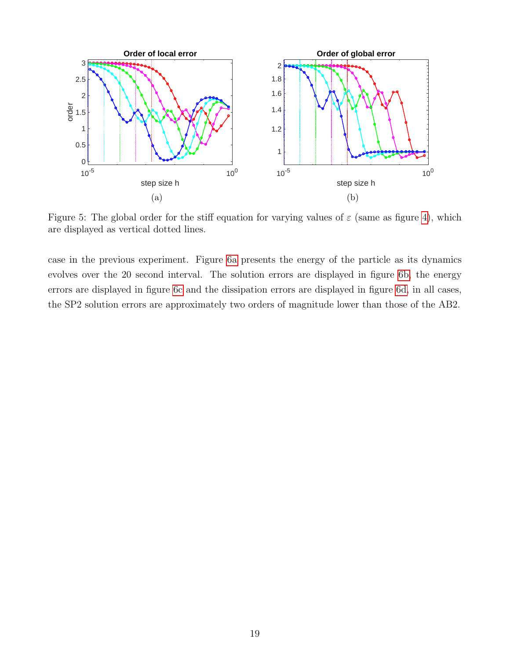<span id="page-18-0"></span>

Figure 5: The global order for the stiff equation for varying values of  $\varepsilon$  (same as figure [4\)](#page-17-0), which are displayed as vertical dotted lines.

case in the previous experiment. Figure [6a](#page-19-0) presents the energy of the particle as its dynamics evolves over the 20 second interval. The solution errors are displayed in figure [6b,](#page-19-0) the energy errors are displayed in figure [6c](#page-19-0) and the dissipation errors are displayed in figure [6d,](#page-19-0) in all cases, the SP2 solution errors are approximately two orders of magnitude lower than those of the AB2.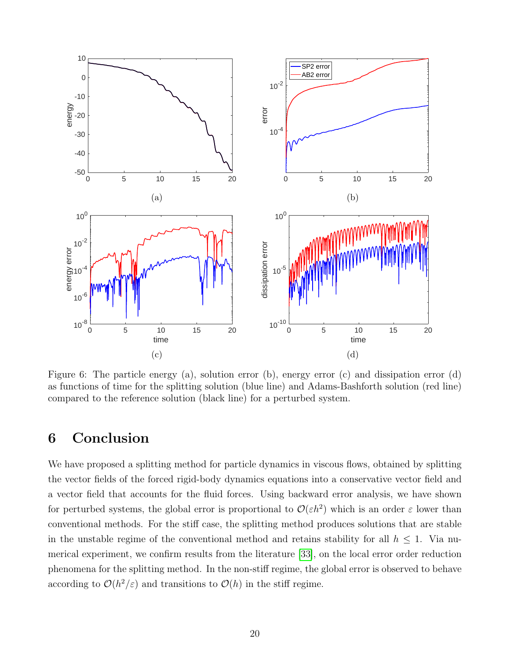<span id="page-19-0"></span>

Figure 6: The particle energy (a), solution error (b), energy error (c) and dissipation error (d) as functions of time for the splitting solution (blue line) and Adams-Bashforth solution (red line) compared to the reference solution (black line) for a perturbed system.

# 6 Conclusion

We have proposed a splitting method for particle dynamics in viscous flows, obtained by splitting the vector fields of the forced rigid-body dynamics equations into a conservative vector field and a vector field that accounts for the fluid forces. Using backward error analysis, we have shown for perturbed systems, the global error is proportional to  $\mathcal{O}(\varepsilon h^2)$  which is an order  $\varepsilon$  lower than conventional methods. For the stiff case, the splitting method produces solutions that are stable in the unstable regime of the conventional method and retains stability for all  $h \leq 1$ . Via numerical experiment, we confirm results from the literature [\[33\]](#page-22-7), on the local error order reduction phenomena for the splitting method. In the non-stiff regime, the global error is observed to behave according to  $\mathcal{O}(h^2/\varepsilon)$  and transitions to  $\mathcal{O}(h)$  in the stiff regime.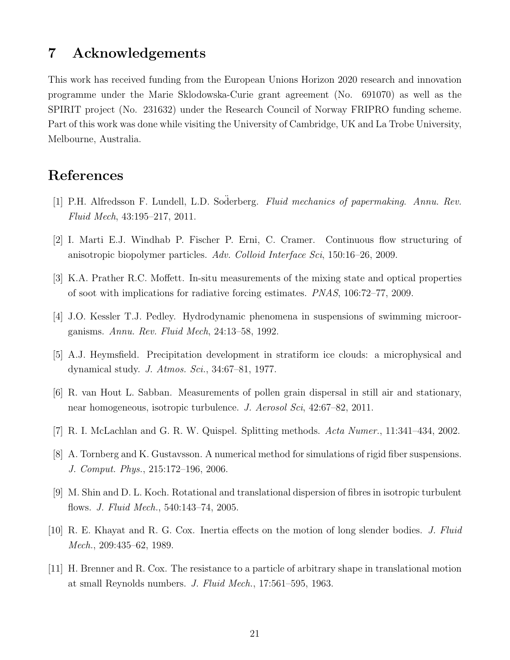## 7 Acknowledgements

This work has received funding from the European Unions Horizon 2020 research and innovation programme under the Marie Sklodowska-Curie grant agreement (No. 691070) as well as the SPIRIT project (No. 231632) under the Research Council of Norway FRIPRO funding scheme. Part of this work was done while visiting the University of Cambridge, UK and La Trobe University, Melbourne, Australia.

# References

- <span id="page-20-0"></span>[1] P.H. Alfredsson F. Lundell, L.D. Soderberg. Fluid mechanics of papermaking. Annu. Rev. Fluid Mech, 43:195–217, 2011.
- <span id="page-20-1"></span>[2] I. Marti E.J. Windhab P. Fischer P. Erni, C. Cramer. Continuous flow structuring of anisotropic biopolymer particles. Adv. Colloid Interface Sci, 150:16–26, 2009.
- <span id="page-20-2"></span>[3] K.A. Prather R.C. Moffett. In-situ measurements of the mixing state and optical properties of soot with implications for radiative forcing estimates. PNAS, 106:72–77, 2009.
- <span id="page-20-3"></span>[4] J.O. Kessler T.J. Pedley. Hydrodynamic phenomena in suspensions of swimming microorganisms. Annu. Rev. Fluid Mech, 24:13–58, 1992.
- <span id="page-20-4"></span>[5] A.J. Heymsfield. Precipitation development in stratiform ice clouds: a microphysical and dynamical study. J. Atmos. Sci., 34:67–81, 1977.
- <span id="page-20-5"></span>[6] R. van Hout L. Sabban. Measurements of pollen grain dispersal in still air and stationary, near homogeneous, isotropic turbulence. J. Aerosol Sci, 42:67–82, 2011.
- <span id="page-20-6"></span>[7] R. I. McLachlan and G. R. W. Quispel. Splitting methods. Acta Numer., 11:341–434, 2002.
- <span id="page-20-7"></span>[8] A. Tornberg and K. Gustavsson. A numerical method for simulations of rigid fiber suspensions. J. Comput. Phys., 215:172–196, 2006.
- [9] M. Shin and D. L. Koch. Rotational and translational dispersion of fibres in isotropic turbulent flows. J. Fluid Mech., 540:143–74, 2005.
- <span id="page-20-8"></span>[10] R. E. Khayat and R. G. Cox. Inertia effects on the motion of long slender bodies. J. Fluid Mech., 209:435–62, 1989.
- <span id="page-20-9"></span>[11] H. Brenner and R. Cox. The resistance to a particle of arbitrary shape in translational motion at small Reynolds numbers. J. Fluid Mech., 17:561–595, 1963.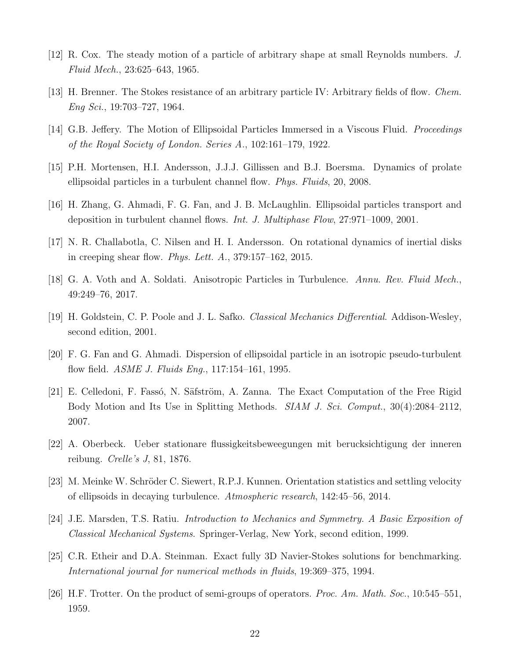- <span id="page-21-0"></span>[12] R. Cox. The steady motion of a particle of arbitrary shape at small Reynolds numbers. J. Fluid Mech., 23:625–643, 1965.
- <span id="page-21-1"></span>[13] H. Brenner. The Stokes resistance of an arbitrary particle IV: Arbitrary fields of flow. Chem. Eng Sci., 19:703–727, 1964.
- <span id="page-21-2"></span>[14] G.B. Jeffery. The Motion of Ellipsoidal Particles Immersed in a Viscous Fluid. Proceedings of the Royal Society of London. Series A., 102:161–179, 1922.
- <span id="page-21-3"></span>[15] P.H. Mortensen, H.I. Andersson, J.J.J. Gillissen and B.J. Boersma. Dynamics of prolate ellipsoidal particles in a turbulent channel flow. Phys. Fluids, 20, 2008.
- <span id="page-21-5"></span>[16] H. Zhang, G. Ahmadi, F. G. Fan, and J. B. McLaughlin. Ellipsoidal particles transport and deposition in turbulent channel flows. Int. J. Multiphase Flow, 27:971–1009, 2001.
- <span id="page-21-4"></span>[17] N. R. Challabotla, C. Nilsen and H. I. Andersson. On rotational dynamics of inertial disks in creeping shear flow. Phys. Lett.  $A_{\cdot}, 379:157-162, 2015$ .
- <span id="page-21-6"></span>[18] G. A. Voth and A. Soldati. Anisotropic Particles in Turbulence. Annu. Rev. Fluid Mech., 49:249–76, 2017.
- <span id="page-21-7"></span>[19] H. Goldstein, C. P. Poole and J. L. Safko. Classical Mechanics Differential. Addison-Wesley, second edition, 2001.
- <span id="page-21-8"></span>[20] F. G. Fan and G. Ahmadi. Dispersion of ellipsoidal particle in an isotropic pseudo-turbulent flow field. *ASME J. Fluids Eng.*, 117:154–161, 1995.
- <span id="page-21-9"></span>[21] E. Celledoni, F. Fassó, N. Säfström, A. Zanna. The Exact Computation of the Free Rigid Body Motion and Its Use in Splitting Methods. *SIAM J. Sci. Comput.*, 30(4):2084–2112, 2007.
- <span id="page-21-10"></span>[22] A. Oberbeck. Ueber stationare flussigkeitsbeweegungen mit berucksichtigung der inneren reibung. Crelle's J, 81, 1876.
- <span id="page-21-11"></span>[23] M. Meinke W. Schröder C. Siewert, R.P.J. Kunnen. Orientation statistics and settling velocity of ellipsoids in decaying turbulence. Atmospheric research, 142:45–56, 2014.
- <span id="page-21-12"></span>[24] J.E. Marsden, T.S. Ratiu. Introduction to Mechanics and Symmetry. A Basic Exposition of Classical Mechanical Systems. Springer-Verlag, New York, second edition, 1999.
- <span id="page-21-13"></span>[25] C.R. Etheir and D.A. Steinman. Exact fully 3D Navier-Stokes solutions for benchmarking. International journal for numerical methods in fluids, 19:369–375, 1994.
- <span id="page-21-14"></span>[26] H.F. Trotter. On the product of semi-groups of operators. *Proc. Am. Math. Soc.*, 10:545–551, 1959.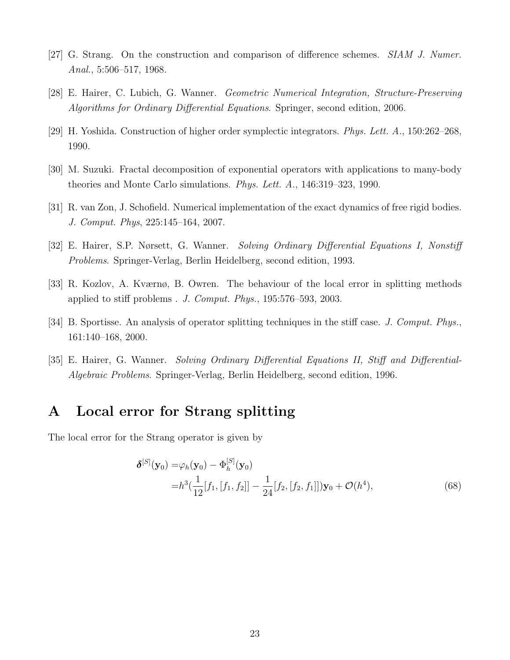- <span id="page-22-0"></span>[27] G. Strang. On the construction and comparison of difference schemes. SIAM J. Numer. Anal., 5:506–517, 1968.
- <span id="page-22-1"></span>[28] E. Hairer, C. Lubich, G. Wanner. Geometric Numerical Integration, Structure-Preserving Algorithms for Ordinary Differential Equations. Springer, second edition, 2006.
- <span id="page-22-2"></span>[29] H. Yoshida. Construction of higher order symplectic integrators. Phys. Lett. A., 150:262–268, 1990.
- <span id="page-22-3"></span>[30] M. Suzuki. Fractal decomposition of exponential operators with applications to many-body theories and Monte Carlo simulations. Phys. Lett. A., 146:319–323, 1990.
- <span id="page-22-4"></span>[31] R. van Zon, J. Schofield. Numerical implementation of the exact dynamics of free rigid bodies. J. Comput. Phys, 225:145–164, 2007.
- <span id="page-22-5"></span>[32] E. Hairer, S.P. Nørsett, G. Wanner. Solving Ordinary Differential Equations I, Nonstiff Problems. Springer-Verlag, Berlin Heidelberg, second edition, 1993.
- <span id="page-22-7"></span>[33] R. Kozlov, A. Kværnø, B. Owren. The behaviour of the local error in splitting methods applied to stiff problems  $\ldots$  *J. Comput. Phys.*, 195:576–593, 2003.
- <span id="page-22-8"></span>[34] B. Sportisse. An analysis of operator splitting techniques in the stiff case. J. Comput. Phys., 161:140–168, 2000.
- <span id="page-22-9"></span>[35] E. Hairer, G. Wanner. Solving Ordinary Differential Equations II, Stiff and Differential-Algebraic Problems. Springer-Verlag, Berlin Heidelberg, second edition, 1996.

# <span id="page-22-6"></span>A Local error for Strang splitting

The local error for the Strang operator is given by

$$
\delta^{[S]}(\mathbf{y}_0) = \varphi_h(\mathbf{y}_0) - \Phi_h^{[S]}(\mathbf{y}_0)
$$
  
= $h^3(\frac{1}{12}[f_1, [f_1, f_2]] - \frac{1}{24}[f_2, [f_2, f_1]])\mathbf{y}_0 + \mathcal{O}(h^4),$  (68)